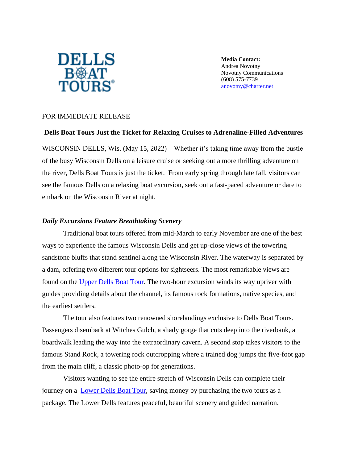

**Media Contact:** Andrea Novotny Novotny Communications (608) 575-7739 [anovotny@charter.net](mailto:anovotny@charter.net)

# FOR IMMEDIATE RELEASE

### **Dells Boat Tours Just the Ticket for Relaxing Cruises to Adrenaline-Filled Adventures**

WISCONSIN DELLS, Wis. (May 15, 2022) – Whether it's taking time away from the bustle of the busy Wisconsin Dells on a leisure cruise or seeking out a more thrilling adventure on the river, Dells Boat Tours is just the ticket. From early spring through late fall, visitors can see the famous Dells on a relaxing boat excursion, seek out a fast-paced adventure or dare to embark on the Wisconsin River at night.

### *Daily Excursions Feature Breathtaking Scenery*

Traditional boat tours offered from mid-March to early November are one of the best ways to experience the famous Wisconsin Dells and get up-close views of the towering sandstone bluffs that stand sentinel along the Wisconsin River. The waterway is separated by a dam, offering two different tour options for sightseers. The most remarkable views are found on the [Upper Dells Boat Tour.](http://www.dellsboats.com/upper-dells-tours/) The two-hour excursion winds its way upriver with guides providing details about the channel, its famous rock formations, native species, and the earliest settlers.

The tour also features two renowned shorelandings exclusive to Dells Boat Tours. Passengers disembark at Witches Gulch, a shady gorge that cuts deep into the riverbank, a boardwalk leading the way into the extraordinary cavern. A second stop takes visitors to the famous Stand Rock, a towering rock outcropping where a trained dog jumps the five-foot gap from the main cliff, a classic photo-op for generations.

Visitors wanting to see the entire stretch of Wisconsin Dells can complete their journey on a [Lower Dells Boat Tour,](http://www.dellsboats.com/upper-dells-tours/lower-dells-tours/) saving money by purchasing the two tours as a package. The Lower Dells features peaceful, beautiful scenery and guided narration.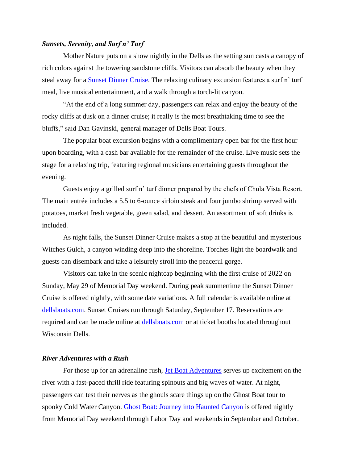#### *Sunsets, Serenity, and Surf n' Turf*

Mother Nature puts on a show nightly in the Dells as the setting sun casts a canopy of rich colors against the towering sandstone cliffs. Visitors can absorb the beauty when they steal away for a **Sunset Dinner Cruise**. The relaxing culinary excursion features a surf n' turf meal, live musical entertainment, and a walk through a torch-lit canyon.

"At the end of a long summer day, passengers can relax and enjoy the beauty of the rocky cliffs at dusk on a dinner cruise; it really is the most breathtaking time to see the bluffs," said Dan Gavinski, general manager of Dells Boat Tours.

The popular boat excursion begins with a complimentary open bar for the first hour upon boarding, with a cash bar available for the remainder of the cruise. Live music sets the stage for a relaxing trip, featuring regional musicians entertaining guests throughout the evening.

Guests enjoy a grilled surf n' turf dinner prepared by the chefs of Chula Vista Resort. The main entrée includes a 5.5 to 6-ounce sirloin steak and four jumbo shrimp served with potatoes, market fresh vegetable, green salad, and dessert. An assortment of soft drinks is included.

As night falls, the Sunset Dinner Cruise makes a stop at the beautiful and mysterious Witches Gulch, a canyon winding deep into the shoreline. Torches light the boardwalk and guests can disembark and take a leisurely stroll into the peaceful gorge.

Visitors can take in the scenic nightcap beginning with the first cruise of 2022 on Sunday, May 29 of Memorial Day weekend. During peak summertime the Sunset Dinner Cruise is offered nightly, with some date variations. A full calendar is available online at [dellsboats.com.](http://www.dellsboats.com/) Sunset Cruises run through Saturday, September 17. Reservations are required and can be made online at [dellsboats.com](http://www.dellsboats.com/) or at ticket booths located throughout Wisconsin Dells.

# *River Adventures with a Rush*

For those up for an adrenaline rush, [Jet Boat Adventures](http://www.jetboatadv.com/) serves up excitement on the river with a fast-paced thrill ride featuring spinouts and big waves of water. At night, passengers can test their nerves as the ghouls scare things up on the Ghost Boat tour to spooky Cold Water Canyon. [Ghost Boat: Journey into Haunted Canyon](http://www.dellsghostboat.com/haunted-canyon/) is offered nightly from Memorial Day weekend through Labor Day and weekends in September and October.